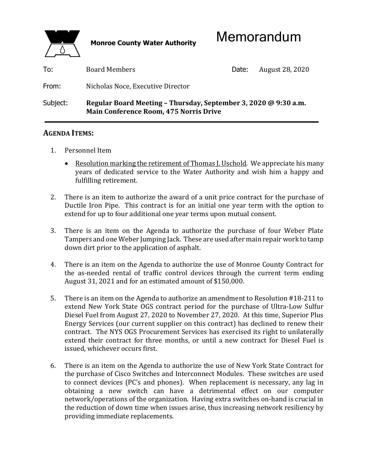

| To:      | <b>Board Members</b>                                                                                             | Date: | August 28, 2020 |
|----------|------------------------------------------------------------------------------------------------------------------|-------|-----------------|
| From:    | Nicholas Noce, Executive Director                                                                                |       |                 |
| Subject: | Regular Board Meeting - Thursday, September 3, 2020 @ 9:30 a.m.<br><b>Main Conference Room, 475 Norris Drive</b> |       |                 |

## **AGENDA ITEMS:**

- 1. Personnel Item
	- Resolution marking the retirement of Thomas J. Uschold. We appreciate his many years of dedicated service to the Water Authority and wish him a happy and fulfilling retirement.
- 2. There is an item to authorize the award of a unit price contract for the purchase of Ductile Iron Pipe. This contract is for an initial one year term with the option to extend for up to four additional one year terms upon mutual consent.
- 3. There is an item on the Agenda to authorize the purchase of four Weber Plate Tampers and one Weber Jumping Jack. These are used after main repair work to tamp down dirt prior to the application of asphalt.
- 4. There is an item on the Agenda to authorize the use of Monroe County Contract for the as-needed rental of traffic control devices through the current term ending August 31, 2021 and for an estimated amount of \$150,000.
- 5. There is an item on the Agenda to authorize an amendment to Resolution #18-211 to extend New York State OGS contract period for the purchase of Ultra-Low Sulfur Diesel Fuel from August 27, 2020 to November 27, 2020. At this time, Superior Plus Energy Services (our current supplier on this contract) has declined to renew their contract. The NYS OGS Procurement Services has exercised its right to unilaterally extend their contract for three months, or until a new contract for Diesel Fuel is issued, whichever occurs first.
- 6. There is an item on the Agenda to authorize the use of New York State Contract for the purchase of Cisco Switches and Interconnect Modules. These switches are used to connect devices (PC's and phones). When replacement is necessary, any lag in obtaining a new switch can have a detrimental effect on our computer network/operations of the organization. Having extra switches on-hand is crucial in the reduction of down time when issues arise, thus increasing network resiliency by providing immediate replacements.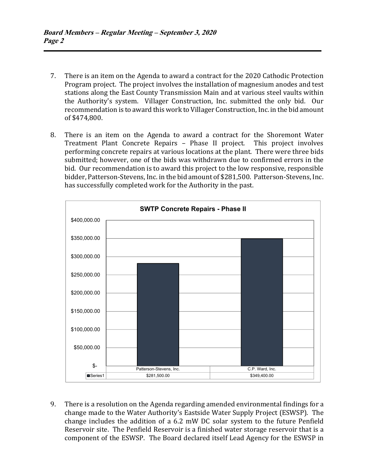- 7. There is an item on the Agenda to award a contract for the 2020 Cathodic Protection Program project. The project involves the installation of magnesium anodes and test stations along the East County Transmission Main and at various steel vaults within the Authority's system. Villager Construction, Inc. submitted the only bid. Our recommendation is to award this work to Villager Construction, Inc. in the bid amount of \$474,800.
- 8. There is an item on the Agenda to award a contract for the Shoremont Water Treatment Plant Concrete Repairs – Phase II project. This project involves performing concrete repairs at various locations at the plant. There were three bids submitted; however, one of the bids was withdrawn due to confirmed errors in the bid. Our recommendation is to award this project to the low responsive, responsible bidder, Patterson-Stevens, Inc. in the bid amount of \$281,500. Patterson-Stevens, Inc. has successfully completed work for the Authority in the past.



 9. There is a resolution on the Agenda regarding amended environmental findings for a change made to the Water Authority's Eastside Water Supply Project (ESWSP). The change includes the addition of a 6.2 mW DC solar system to the future Penfield Reservoir site. The Penfield Reservoir is a finished water storage reservoir that is a component of the ESWSP. The Board declared itself Lead Agency for the ESWSP in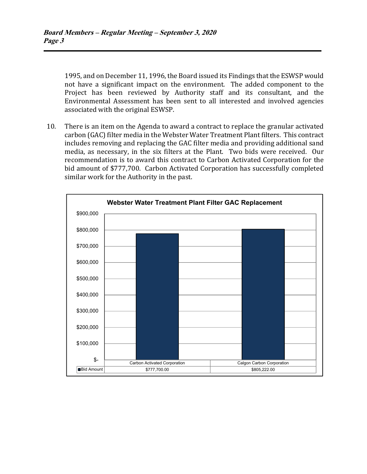1995, and on December 11, 1996, the Board issued its Findings that the ESWSP would not have a significant impact on the environment. The added component to the Project has been reviewed by Authority staff and its consultant, and the Environmental Assessment has been sent to all interested and involved agencies associated with the original ESWSP.

 10. There is an item on the Agenda to award a contract to replace the granular activated carbon (GAC) filter media in the Webster Water Treatment Plant filters. This contract includes removing and replacing the GAC filter media and providing additional sand media, as necessary, in the six filters at the Plant. Two bids were received. Our recommendation is to award this contract to Carbon Activated Corporation for the bid amount of \$777,700. Carbon Activated Corporation has successfully completed similar work for the Authority in the past.

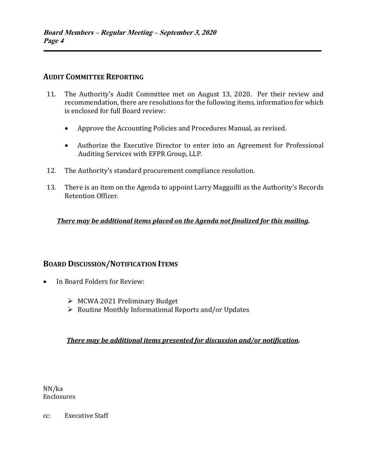## **AUDIT COMMITTEE REPORTING**

- 11. The Authority's Audit Committee met on August 13, 2020. Per their review and recommendation, there are resolutions for the following items, information for which is enclosed for full Board review:
	- Approve the Accounting Policies and Procedures Manual, as revised.
	- Authorize the Executive Director to enter into an Agreement for Professional Auditing Services with EFPR Group, LLP.
- 12. The Authority's standard procurement compliance resolution.
- 13. There is an item on the Agenda to appoint Larry Magguilli as the Authority's Records Retention Officer.

*There may be additional items placed on the Agenda not finalized for this mailing.*

### **BOARD DISCUSSION/NOTIFICATION ITEMS**

- In Board Folders for Review:
	- MCWA 2021 Preliminary Budget
	- $\triangleright$  Routine Monthly Informational Reports and/or Updates

#### *There may be additional items presented for discussion and/or notification.*

NN/ka Enclosures

cc: Executive Staff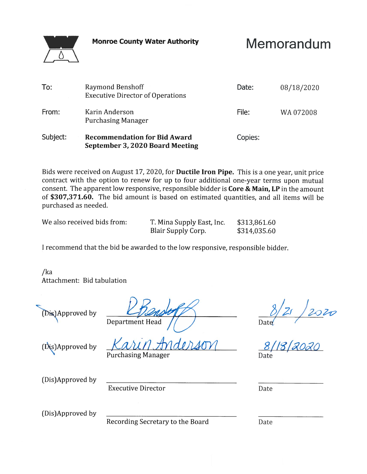**Monroe County Water Authority** 



Memorandum

| To:      | <b>Raymond Benshoff</b><br><b>Executive Director of Operations</b>     | Date:   | 08/18/2020 |
|----------|------------------------------------------------------------------------|---------|------------|
| From:    | Karin Anderson<br><b>Purchasing Manager</b>                            | File:   | WA 072008  |
| Subject: | <b>Recommendation for Bid Award</b><br>September 3, 2020 Board Meeting | Copies: |            |

Bids were received on August 17, 2020, for Ductile Iron Pipe. This is a one year, unit price contract with the option to renew for up to four additional one-year terms upon mutual consent. The apparent low responsive, responsible bidder is Core & Main, LP in the amount of \$307,371.60. The bid amount is based on estimated quantities, and all items will be purchased as needed.

| We also received bids from: | T. Mina Supply East, Inc. | \$313,861.60 |  |
|-----------------------------|---------------------------|--------------|--|
|                             | Blair Supply Corp.        | \$314,035.60 |  |

I recommend that the bid be awarded to the low responsive, responsible bidder.

 $/ka$ Attachment: Bid tabulation

Dis)Approved by

**Department Head** 

 $\frac{0/21}{\text{Date}}$ <br> $\frac{8/18}{2020}$ 

(Dis)Approved by

(Dis)Approved by

**Executive Director** 

**Purchasing Manager** 

Date

(Dis)Approved by

Recording Secretary to the Board

Date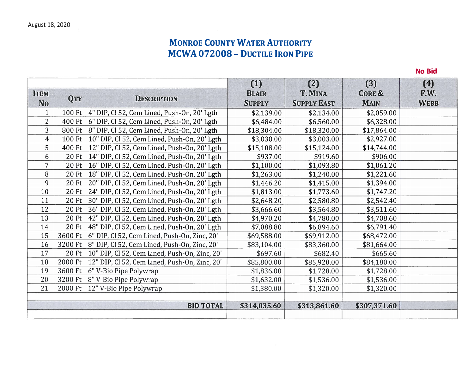## **MONROE COUNTY WATER AUTHORITY MCWA 072008 - DUCTILE IRON PIPE**

**No Bid** 

 $(1)$  $(2)$  $(3)$  $(4)$ **BLAIR** T. MINA **CORE &** F.W. **ITEM OTY DESCRIPTION No SUPPLY SUPPLY EAST MAIN WEBB** \$2,139.00 \$2.059.00  $\mathbf{1}$ 100 Ft 4" DIP, Cl 52, Cem Lined, Push-On, 20' Lgth \$2,134.00  $\overline{2}$ 400 Ft 6" DIP, Cl 52, Cem Lined, Push-On, 20' Lgth \$6,484.00 \$6,560.00 \$6,328.00 800 Ft 8" DIP, Cl 52, Cem Lined, Push-On, 20' Lgth \$18,304.00 \$18.320.00 \$17,864.00 3  $\overline{4}$ \$3,030.00 \$2.927.00 100 Ft 10" DIP, Cl 52, Cem Lined, Push-On, 20' Lgth \$3,003.00 \$14,744.00 5 400 Ft 12" DIP, Cl 52, Cem Lined, Push-On, 20' Lgth \$15,108.00 \$15,124.00 \$906.00 6 20 Ft 14" DIP, Cl 52, Cem Lined, Push-On, 20' Lgth \$937.00 \$919.60 20 Ft 16" DIP, Cl 52, Cem Lined, Push-On, 20' Lgth  $\overline{7}$ \$1,100.00 \$1,093.80 \$1,061.20 8 20 Ft 18" DIP, Cl 52, Cem Lined, Push-On, 20' Lgth \$1.263.00 \$1,240.00 \$1.221.60 9 \$1,394.00 20 Ft 20" DIP, Cl 52, Cem Lined, Push-On, 20' Lgth \$1,446.20 \$1,415.00 10 20 Ft 24" DIP, Cl 52, Cem Lined, Push-On, 20' Lgth \$1,813.00 \$1,773.60 \$1,747.20 11 20 Ft 30" DIP, Cl 52, Cem Lined, Push-On, 20' Lgth \$2,648.20 \$2,580.80 \$2,542.40 12 20 Ft 36" DIP, Cl 52, Cem Lined, Push-On, 20' Lgth \$3,666.60 \$3,564.80 \$3,511.60 13 20 Ft 42" DIP, Cl 52, Cem Lined, Push-On, 20' Lgth \$4,970.20 \$4.780.00 \$4,708.60 14 \$6,791.40 20 Ft 48" DIP, Cl 52, Cem Lined, Push-On, 20' Lgth \$7,088.80 \$6,894.60 15 3600 Ft 6" DIP, Cl 52, Cem Lined, Push-On, Zinc, 20' \$69,588.00 \$69,912.00 \$68,472.00 16 \$81,664.00 3200 Ft 8" DIP, Cl 52, Cem Lined, Push-On, Zinc, 20' \$83,104.00 \$83,360.00 17 20 Ft 10" DIP, Cl 52, Cem Lined, Push-On, Zinc, 20' \$697.60 \$682.40 \$665.60 \$85,800.00 \$84,180.00 18 2000 Ft 12" DIP, Cl 52, Cem Lined, Push-On, Zinc, 20' \$85,920.00 19 3600 Ft 6" V-Bio Pipe Polywrap \$1,836.00 \$1,728.00 \$1,728.00 20 \$1,632.00 \$1,536.00 3200 Ft 8" V-Bio Pipe Polywrap \$1,536.00 21 2000 Ft 12" V-Bio Pipe Polywrap \$1,380.00 \$1,320.00 \$1,320.00 **BID TOTAL** \$314,035.60 \$313,861.60 \$307,371.60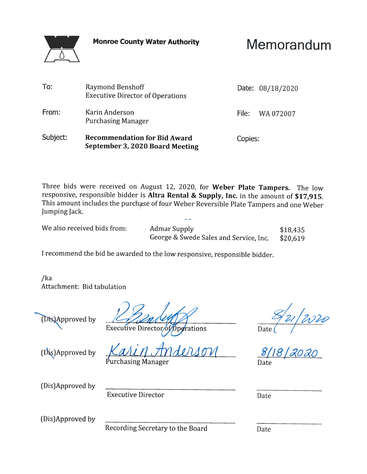**Monroe County Water Authority** 



Memorandum

| To:      | Raymond Benshoff<br><b>Executive Director of Operations</b>            |         | Date: 08/18/2020 |
|----------|------------------------------------------------------------------------|---------|------------------|
| From:    | Karin Anderson<br><b>Purchasing Manager</b>                            | File: I | WA 072007        |
| Subject: | <b>Recommendation for Bid Award</b><br>September 3, 2020 Board Meeting | Copies: |                  |

Three bids were received on August 12, 2020, for Weber Plate Tampers. The low responsive, responsible bidder is Altra Rental & Supply, Inc. in the amount of \$17,915. This amount includes the purchase of four Weber Reversible Plate Tampers and one Weber Jumping Jack.

We also received bids from:

**Admar Supply** \$18,435 George & Swede Sales and Service, Inc. \$20,619

I recommend the bid be awarded to the low responsive, responsible bidder.

 $/ka$ Attachment: Bid tabulation



 $\frac{E_{21}}{2000}$ ate $($ 8/18/2020

Executive Director of Operations

(Dis)Approved by

hasing Manager

 $8/18$ Date

(Dis)Approved by

**Executive Director** 

Date

(Dis)Approved by

Recording Secretary to the Board

Date